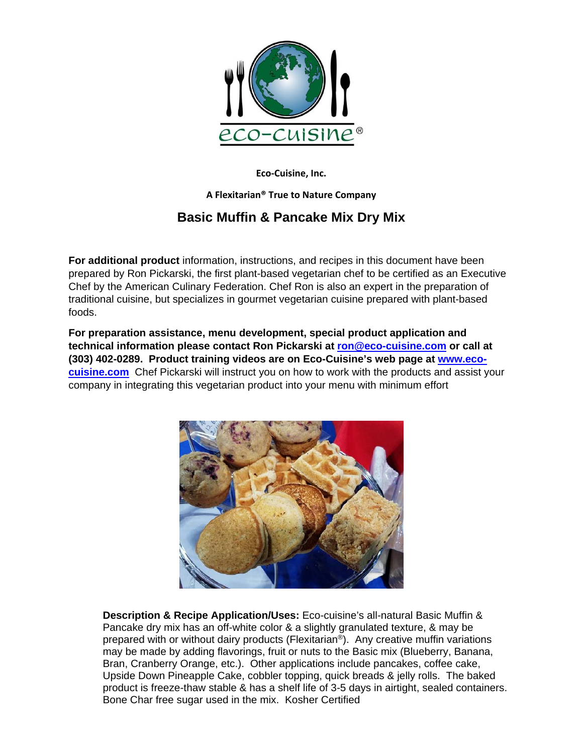

**Eco-Cuisine, Inc.** 

## **A Flexitarian® True to Nature Company**

## **Basic Muffin & Pancake Mix Dry Mix**

**For additional product** information, instructions, and recipes in this document have been prepared by Ron Pickarski, the first plant-based vegetarian chef to be certified as an Executive Chef by the American Culinary Federation. Chef Ron is also an expert in the preparation of traditional cuisine, but specializes in gourmet vegetarian cuisine prepared with plant-based foods.

**For preparation assistance, menu development, special product application and technical information please contact Ron Pickarski at ron@eco-cuisine.com or call at (303) 402-0289. Product training videos are on Eco-Cuisine's web page at www.ecocuisine.com** Chef Pickarski will instruct you on how to work with the products and assist your company in integrating this vegetarian product into your menu with minimum effort



**Description & Recipe Application/Uses:** Eco-cuisine's all-natural Basic Muffin & Pancake dry mix has an off-white color & a slightly granulated texture, & may be prepared with or without dairy products (Flexitarian®). Any creative muffin variations may be made by adding flavorings, fruit or nuts to the Basic mix (Blueberry, Banana, Bran, Cranberry Orange, etc.). Other applications include pancakes, coffee cake, Upside Down Pineapple Cake, cobbler topping, quick breads & jelly rolls. The baked product is freeze-thaw stable & has a shelf life of 3-5 days in airtight, sealed containers. Bone Char free sugar used in the mix. Kosher Certified